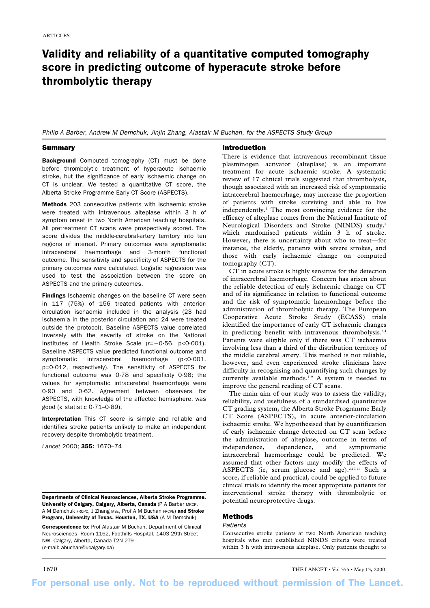# Validity and reliability of a quantitative computed tomography score in predicting outcome of hyperacute stroke before thrombolytic therapy

Philip A Barber, Andrew M Demchuk, Jinjin Zhang, Alastair M Buchan, for the ASPECTS Study Group

# Summary

Background Computed tomography (CT) must be done before thrombolytic treatment of hyperacute ischaemic stroke, but the significance of early ischaemic change on CT is unclear. We tested a quantitative CT score, the Alberta Stroke Programme Early CT Score (ASPECTS).

Methods 203 consecutive patients with ischaemic stroke were treated with intravenous alteplase within 3 h of symptom onset in two North American teaching hospitals. All pretreatment CT scans were prospectively scored. The score divides the middle-cerebral-artery territory into ten regions of interest. Primary outcomes were symptomatic intracerebral haemorrhage and 3-month functional outcome. The sensitivity and specificity of ASPECTS for the primary outcomes were calculated. Logistic regression was used to test the association between the score on ASPECTS and the primary outcomes.

Findings Ischaemic changes on the baseline CT were seen in 117 (75%) of 156 treated patients with anteriorcirculation ischaemia included in the analysis (23 had ischaemia in the posterior circulation and 24 were treated outside the protocol). Baseline ASPECTS value correlated inversely with the severity of stroke on the National Institutes of Health Stroke Scale ( $r=-0.56$ ,  $p<0.001$ ). Baseline ASPECTS value predicted functional outcome and symptomatic intracerebral haemorrhage (p<0·001, p=0·012, respectively). The sensitivity of ASPECTS for functional outcome was 0·78 and specificity 0·96; the values for symptomatic intracerebral haemorrhage were 0·90 and 0·62. Agreement between observers for ASPECTS, with knowledge of the affected hemisphere, was good ( $\kappa$  statistic 0·71–0·89).

Interpretation This CT score is simple and reliable and identifies stroke patients unlikely to make an independent recovery despite thrombolytic treatment.

*Lancet* 2000; 355: 1670–74

Departments of Clinical Neurosciences, Alberta Stroke Programme, University of Calgary, Calgary, Alberta, Canada (P A Barber MRCP, A M Demchuk FRCPC, J Zhang MSc, Prof A M Buchan FRCPE) and Stroke Program, University of Texas, Houston, TX, USA (A M Demchuk)

Correspondence to: Prof Alastair M Buchan, Department of Clinical Neurosciences, Room 1162, Foothills Hospital, 1403 29th Street NW, Calgary, Alberta, Canada T2N 2T9 (e-mail: abuchan@ucalgary.ca)

## Introduction

There is evidence that intravenous recombinant tissue plasminogen activator (alteplase) is an important treatment for acute ischaemic stroke. A systematic review of 17 clinical trials suggested that thrombolysis, though associated with an increased risk of symptomatic intracerebral haemorrhage, may increase the proportion of patients with stroke surviving and able to live independently.1 The most convincing evidence for the efficacy of alteplase comes from the National Institute of Neurological Disorders and Stroke (NINDS) study,<sup>2</sup> which randomised patients within 3 h of stroke. However, there is uncertainty about who to treat—for instance, the elderly, patients with severe strokes, and those with early ischaemic change on computed tomography (CT).

CT in acute stroke is highly sensitive for the detection of intracerebral haemorrhage. Concern has arisen about the reliable detection of early ischaemic change on CT and of its significance in relation to functional outcome and the risk of symptomatic haemorrhage before the administration of thrombolytic therapy. The European Cooperative Acute Stroke Study (ECASS) trials identified the importance of early CT ischaemic changes in predicting benefit with intravenous thrombolysis.<sup>3,4</sup> Patients were eligible only if there was CT ischaemia involving less than a third of the distribution territory of the middle cerebral artery. This method is not reliable, however, and even experienced stroke clinicians have difficulty in recognising and quantifying such changes by currently available methods.<sup>5-9</sup> A system is needed to improve the general reading of CT scans.

The main aim of our study was to assess the validity, reliability, and usefulness of a standardised quantitative CT grading system, the Alberta Stroke Programme Early CT Score (ASPECTS), in acute anterior-circulation ischaemic stroke. We hypothesised that by quantification of early ischaemic change detected on CT scan before the administration of alteplase, outcome in terms of independence, dependence, and symptomatic intracerebral haemorrhage could be predicted. We assumed that other factors may modify the effects of ASPECTS (ie, serum glucose and age).<sup>2,10,11</sup> Such a score, if reliable and practical, could be applied to future clinical trials to identify the most appropriate patients for interventional stroke therapy with thrombolytic or potential neuroprotective drugs.

# Methods

## **Patients**

Consecutive stroke patients at two North American teaching hospitals who met established NINDS criteria were treated within 3 h with intravenous alteplase. Only patients thought to

1670 THE LANCET • Vol 355 • May 13, 2000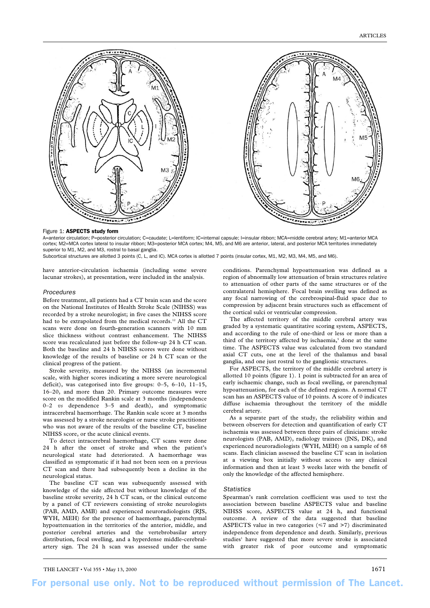

## Figure 1: ASPECTS study form

A=anterior circulation; P=posterior circulation; C=caudate; L=lentiform; IC=internal capsule; I=insular ribbon; MCA=middle cerebral artery; M1=anterior MCA cortex; M2=MCA cortex lateral to insular ribbon; M3=posterior MCA cortex; M4, M5, and M6 are anterior, lateral, and posterior MCA territories immediately superior to M1, M2, and M3, rostral to basal ganglia. Subcortical structures are allotted 3 points (C, L, and IC). MCA cortex is allotted 7 points (insular cortex, M1, M2, M3, M4, M5, and M6).

have anterior-circulation ischaemia (including some severe lacunar strokes), at presentation, were included in the analysis.

#### Procedures

Before treatment, all patients had a CT brain scan and the score on the National Institutes of Health Stroke Scale (NIHSS) was recorded by a stroke neurologist; in five cases the NIHSS score had to be extrapolated from the medical records.<sup>12</sup> All the CT scans were done on fourth-generation scanners with 10 mm slice thickness without contrast enhancement. The NIHSS score was recalculated just before the follow-up 24 h CT scan. Both the baseline and 24 h NIHSS scores were done without knowledge of the results of baseline or 24 h CT scan or the clinical progress of the patient.

Stroke severity, measured by the NIHSS (an incremental scale, with higher scores indicating a more severe neurological deficit), was categorised into five groups: 0–5, 6–10, 11–15, 16–20, and more than 20. Primary outcome measures were score on the modified Rankin scale at 3 months (independence 0–2 *vs* dependence 3–5 and death), and symptomatic intracerebral haemorrhage. The Rankin scale score at 3 months was assessed by a stroke neurologist or nurse stroke practitioner who was not aware of the results of the baseline CT, baseline NIHSS score, or the acute clinical events.

To detect intracerebral haemorrhage, CT scans were done 24 h after the onset of stroke and when the patient's neurological state had deteriorated. A haemorrhage was classified as symptomatic if it had not been seen on a previous CT scan and there had subsequently been a decline in the neurological status.

The baseline CT scan was subsequently assessed with knowledge of the side affected but without knowledge of the baseline stroke severity, 24 h CT scan, or the clinical outcome by a panel of CT reviewers consisting of stroke neurologists (PAB, AMD, AMB) and experienced neuroradiologists (RJS, WYH, MEH) for the presence of haemorrhage, parenchymal hypoattenuation in the territories of the anterior, middle, and posterior cerebral arteries and the vertebrobasilar artery distribution, focal swelling, and a hyperdense middle-cerebralartery sign. The 24 h scan was assessed under the same conditions. Parenchymal hypoattenuation was defined as a region of abnormally low attenuation of brain structures relative to attenuation of other parts of the same structures or of the contralateral hemisphere. Focal brain swelling was defined as any focal narrowing of the cerebrospinal-fluid space due to compression by adjacent brain structures such as effacement of the cortical sulci or ventricular compression.

The affected territory of the middle cerebral artery was graded by a systematic quantitative scoring system, ASPECTS, and according to the rule of one-third or less or more than a third of the territory affected by ischaemia,<sup>5</sup> done at the same time. The ASPECTS value was calculated from two standard axial CT cuts, one at the level of the thalamus and basal ganglia, and one just rostral to the ganglionic structures.

For ASPECTS, the territory of the middle cerebral artery is allotted 10 points (figure 1). 1 point is subtracted for an area of early ischaemic change, such as focal swelling, or parenchymal hypoattenuation, for each of the defined regions. A normal CT scan has an ASPECTS value of 10 points. A score of 0 indicates diffuse ischaemia throughout the territory of the middle cerebral artery.

As a separate part of the study, the reliability within and between observers for detection and quantification of early CT ischaemia was assessed between three pairs of clinicians: stroke neurologists (PAB, AMD), radiology trainees (JNS, DK), and experienced neuroradiologists (WYH, MEH) on a sample of 68 scans. Each clinician assessed the baseline CT scan in isolation at a viewing box initially without access to any clinical information and then at least 3 weeks later with the benefit of only the knowledge of the affected hemisphere.

### Statistics

Spearman's rank correlation coefficient was used to test the association between baseline ASPECTS value and baseline NIHSS score, ASPECTS value at 24 h, and functional outcome. A review of the data suggested that baseline ASPECTS value in two categories  $(\leq 7$  and >7) discriminated independence from dependence and death. Similarly, previous studies<sup>1</sup> have suggested that more severe stroke is associated with greater risk of poor outcome and symptomatic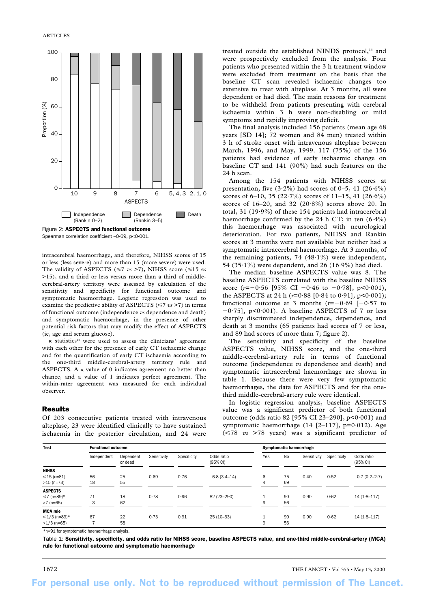

Spearman correlation coefficient –0·69, p<0·001.

intracerebral haemorrhage, and therefore, NIHSS scores of 15 or less (less severe) and more than 15 (more severe) were used. The validity of ASPECTS ( $\leq 7$  *vs* >7), NIHSS score ( $\leq 15$  *vs* >15), and a third or less versus more than a third of middlecerebral-artery territory were assessed by calculation of the sensitivity and specificity for functional outcome and symptomatic haemorrhage. Logistic regression was used to examine the predictive ability of ASPECTS ( $\leq 7$  *vs* >7) in terms of functional outcome (independence *vs* dependence and death) and symptomatic haemorrhage, in the presence of other potential risk factors that may modify the effect of ASPECTS (ie, age and serum glucose).

K statistics<sup>13</sup> were used to assess the clinicians' agreement with each other for the presence of early CT ischaemic change and for the quantification of early CT ischaemia according to the one-third middle-cerebral-artery territory rule and ASPECTS. A  $\kappa$  value of 0 indicates agreement no better than chance, and a value of 1 indicates perfect agreement. The within-rater agreement was measured for each individual observer.

# Results

Of 203 consecutive patients treated with intravenous alteplase, 23 were identified clinically to have sustained ischaemia in the posterior circulation, and 24 were

treated outside the established NINDS protocol,<sup>14</sup> and were prospectively excluded from the analysis. Four patients who presented within the 3 h treatment window were excluded from treatment on the basis that the baseline CT scan revealed ischaemic changes too extensive to treat with alteplase. At 3 months, all were dependent or had died. The main reasons for treatment to be withheld from patients presenting with cerebral ischaemia within 3 h were non-disabling or mild symptoms and rapidly improving deficit.

The final analysis included 156 patients (mean age 68 years [SD 14]; 72 women and 84 men) treated within 3 h of stroke onset with intravenous alteplase between March, 1996, and May, 1999. 117 (75%) of the 156 patients had evidence of early ischaemic change on baseline CT and 141 (90%) had such features on the 24 h scan.

Among the 154 patients with NIHSS scores at presentation, five  $(3.2\%)$  had scores of 0–5, 41  $(26.6\%)$ scores of 6–10, 35 (22·7%) scores of 11–15, 41 (26·6%) scores of  $16-20$ , and  $32$   $(20.8\%)$  scores above 20. In total, 31 (19·9%) of these 154 patients had intracerebral haemorrhage confirmed by the 24 h CT; in ten  $(6.4\%)$ this haemorrhage was associated with neurological deterioration. For two patients, NIHSS and Rankin scores at 3 months were not available but neither had a symptomatic intracerebral haemorrhage. At 3 months, of the remaining patients, 74 (48·1%) were independent, 54 (35·1%) were dependent, and 26 (16·9%) had died.

The median baseline ASPECTS value was 8. The baseline ASPECTS correlated with the baseline NIHSS score  $(r=-0.56$  [95% CI  $-0.46$  to  $-0.78$ ], p<0.001), the ASPECTS at 24 h  $(r=0.88$  [0.84 to 0.91], p<0.001); functional outcome at 3 months  $(r=-0.69$   $[-0.57$  to  $-0.75$ ], p<0.001). A baseline ASPECTS of 7 or less sharply discriminated independence, dependence, and death at 3 months (65 patients had scores of 7 or less, and 89 had scores of more than 7; figure 2).

The sensitivity and specificity of the baseline ASPECTS value, NIHSS score, and the one-third middle-cerebral-artery rule in terms of functional outcome (independence *vs* dependence and death) and symptomatic intracerebral haemorrhage are shown in table 1. Because there were very few symptomatic haemorrhages, the data for ASPECTS and for the onethird middle-cerebral-artery rule were identical.

In logistic regression analysis, baseline ASPECTS value was a significant predictor of both functional outcome (odds ratio 82 [95% CI 23-290],  $p < 0.001$ ) and symptomatic haemorrhage  $(14 [2-117], p=0.012)$ . Age (78 *vs* >78 years) was a significant predictor of

| Test             | <b>Functional outcome</b> |                      |             |             |                                  | Symptomatic haemorrhage |    |             |             |                        |
|------------------|---------------------------|----------------------|-------------|-------------|----------------------------------|-------------------------|----|-------------|-------------|------------------------|
|                  | Independent               | Dependent<br>or dead | Sensitivity | Specificity | Odds ratio<br>$(95% \text{ Cl})$ | Yes                     | No | Sensitivity | Specificity | Odds ratio<br>(95% CI) |
| <b>NIHSS</b>     |                           |                      |             |             |                                  |                         |    |             |             |                        |
| $\leq 15$ (n=81) | 56                        | 25                   | 0.69        | 0.76        | $6.8(3.4 - 14)$                  | 6                       | 75 | 0.40        | 0.52        | $0.7(0.2 - 2.7)$       |
| $>15$ (n=73)     | 18                        | 55                   |             |             |                                  | 4                       | 69 |             |             |                        |
| <b>ASPECTS</b>   |                           |                      |             |             |                                  |                         |    |             |             |                        |
| $≤7$ (n=89)*     | 71                        | 18                   | 0.78        | 0.96        | 82 (23-290)                      |                         | 90 | 0.90        | 0.62        | $14(1.8-117)$          |
| $>7$ (n=65)      | 3                         | 62                   |             |             |                                  | 9                       | 56 |             |             |                        |
| <b>MCA</b> rule  |                           |                      |             |             |                                  |                         |    |             |             |                        |
| $≤1/3$ (n=89)*   | 67                        | 22                   | 0.73        | 0.91        | $25(10-63)$                      |                         | 90 | 0.90        | 0.62        | $14(1.8-117)$          |
| $>1/3$ (n=65)    |                           | 58                   |             |             |                                  | 9                       | 56 |             |             |                        |

\*n=91 for symptomatic haemorrhage analysis.

Table 1: Sensitivity, specificity, and odds ratio for NIHSS score, baseline ASPECTS value, and one-third middle-cerebral-artery (MCA) rule for functional outcome and symptomatic haemorrhage

1672 THE LANCET • Vol 355 • May 13, 2000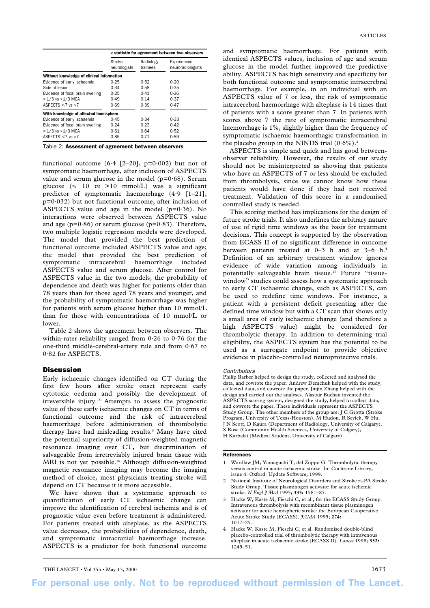|                                           | $\kappa$ statistic for agreement between two observers |                       |                                  |  |  |  |
|-------------------------------------------|--------------------------------------------------------|-----------------------|----------------------------------|--|--|--|
|                                           | Stroke<br>neurologists                                 | Radiology<br>trainees | Experienced<br>neuroradiologists |  |  |  |
| Without knowledge of clinical information |                                                        |                       |                                  |  |  |  |
| Evidence of early ischaemia               | 0.25                                                   | 0.52                  | 0.20                             |  |  |  |
| Side of lesion                            | 0.34                                                   | 0.58                  | 0.35                             |  |  |  |
| Evidence of focal brain swelling          | 0.25                                                   | 0.41                  | 0.36                             |  |  |  |
| $\leq 1/3$ vs >1/3 MCA                    | 0.49                                                   | 0.14                  | 0.37                             |  |  |  |
| ASPECTS $\leq 7$ vs $> 7$                 | 0.69                                                   | 0.39                  | 0.47                             |  |  |  |
| With knowledge of affected hemisphere     |                                                        |                       |                                  |  |  |  |
| Evidence of early ischaemia               | 0.45                                                   | 0.34                  | 0.33                             |  |  |  |
| Evidence of focal brain swelling          | 0.24                                                   | 0.23                  | 0.42                             |  |  |  |
| $\leq 1/3$ vs > 1/3 MCA                   | 0.61                                                   | 0.64                  | 0.52                             |  |  |  |
| ASPECTS $\leq 7$ vs >7                    | 0.85                                                   | 0.71                  | 0.89                             |  |  |  |

Table 2: Assessment of agreement between observers

functional outcome  $(6.4 \text{ } [2-20], \text{ } p=0.002)$  but not of symptomatic haemorrhage, after inclusion of ASPECTS value and serum glucose in the model ( $p=0.68$ ). Serum glucose  $\leq 10$  *vs* >10 mmol/L) was a significant predictor of symptomatic haemorrhage (4·9 [1–21], p=0·032) but not functional outcome, after inclusion of ASPECTS value and age in the model  $(p=0.36)$ . No interactions were observed between ASPECTS value and age ( $p=0.86$ ) or serum glucose ( $p=0.83$ ). Therefore, two multiple logistic regression models were developed. The model that provided the best prediction of functional outcome included ASPECTS value and age; the model that provided the best prediction of symptomatic intracerebral haemorrhage included ASPECTS value and serum glucose. After control for ASPECTS value in the two models, the probability of dependence and death was higher for patients older than 78 years than for those aged 78 years and younger, and the probability of symptomatic haemorrhage was higher for patients with serum glucose higher than 10 mmol/L than for those with concentrations of 10 mmol/L or lower.

Table 2 shows the agreement between observers. The within-rater reliability ranged from 0·26 to 0·76 for the one-third middle-cerebral-artery rule and from 0·67 to 0·82 for ASPECTS.

## Discussion

Early ischaemic changes identified on CT during the first few hours after stroke onset represent early cytotoxic oedema and possibly the development of irreversible injury.15 Attempts to assess the prognostic value of these early ischaemic changes on CT in terms of functional outcome and the risk of intracerebral haemorrhage before administration of thrombolytic therapy have had misleading results.<sup>5</sup> Many have cited the potential superiority of diffusion-weighted magnetic resonance imaging over CT, but discrimination of salvageable from irretreviably injured brain tissue with MRI is not yet possible.<sup>16</sup> Although diffusion-weighted magnetic resonance imaging may become the imaging method of choice, most physicians treating stroke will depend on CT because it is more accessible.

We have shown that a systematic approach to quantification of early CT ischaemic change can improve the identification of cerebral ischemia and is of prognostic value even before treatment is administered. For patients treated with alteplase, as the ASPECTS value decreases, the probabilities of dependence, death, and symptomatic intracranial haemorrhage increase. ASPECTS is a predictor for both functional outcome

and symptomatic haemorrhage. For patients with identical ASPECTS values, inclusion of age and serum glucose in the model further improved the predictive ability. ASPECTS has high sensitivity and specificity for both functional outcome and symptomatic intracerebral haemorrhage. For example, in an individual with an ASPECTS value of 7 or less, the risk of symptomatic intracerebral haemorrhage with alteplase is 14 times that of patients with a score greater than 7. In patients with scores above 7 the rate of symptomatic intracerebral haemorrhage is 1%, slightly higher than the frequency of symptomatic ischaemic haemorrhagic transformation in the placebo group in the NINDS trial  $(0.6\%)$ .<sup>2</sup>

ASPECTS is simple and quick and has good betweenobserver reliability. However, the results of our study should not be misinterpreted as showing that patients who have an ASPECTS of 7 or less should be excluded from thrombolysis, since we cannot know how these patients would have done if they had not received treatment. Validation of this score in a randomised controlled study is needed.

This scoring method has implications for the design of future stroke trials. It also underlines the arbitrary nature of use of rigid time windows as the basis for treatment decisions. This concept is supported by the observation from ECASS II of no significant difference in outcome between patients treated at 0-3 h and at 3-6 h.<sup>4</sup> Definition of an arbitrary treatment window ignores evidence of wide variation among individuals in potentially salvageable brain tissue.17 Future "tissuewindow" studies could assess how a systematic approach to early CT ischaemic change, such as ASPECTS, can be used to redefine time windows. For instance, a patient with a persistent deficit presenting after the defined time window but with a CT scan that shows only a small area of early ischaemic change (and therefore a high ASPECTS value) might be considered for thrombolytic therapy. In addition to determining trial eligibility, the ASPECTS system has the potential to be used as a surrogate endpoint to provide objective evidence in placebo-controlled neuroprotective trials.

#### **Contributors**

Philip Barber helped to design the study, collected and analysed the data, and cowrote the paper. Andrew Demchuk helped with the study, collected data, and cowrote the paper. Jinjin Zhang helped with the design and carried out the analyses. Alastair Buchan invented the ASPECTS scoring system, designed the study, helped to collect data, and cowrote the paper. These individuals represent the ASPECTS Study Group. The other members of the group are: J C Grotta (Stroke Program, University of Texas-Houston), M Hudon, R Sevick, W Hu, J N Scott, D Kaura (Department of Radiology, University of Calgary), S Rose (Community Health Sciences, University of Calgary), H Karbalai (Medical Student, University of Calgary).

# References

- 1 Wardlaw JM, Yamaguchi T, del Zoppo G. Thrombolytic therapy versus control in acute ischaemic stroke. In: Cochrane Library, issue 4. Oxford: Update Software, 1999.
- 2 National Institute of Neurological Disorders and Stroke rt-PA Stroke Study Group. Tissue plasminogen activator for acute ischemic stroke. *N Engl J Med* 1995; **333:** 1581–87.
- 3 Hacke W, Kaste M, Fieschi C, et al., for the ECASS Study Group. Intravenous thrombolysis with recombinant tissue plasminogen activator for acute hemispheric stroke: the European Cooperative Acute Stroke Study (ECASS). *JAMA* 1995; **274:** 1017–25.
- 4 Hacke W, Kaste M, Fieschi C, et al. Randomised double-blind placebo-controlled trial of thrombolytic therapy with intravenous alteplase in acute ischaemic stroke (ECASS II). *Lancet* 1998; **352:** 1245–51.